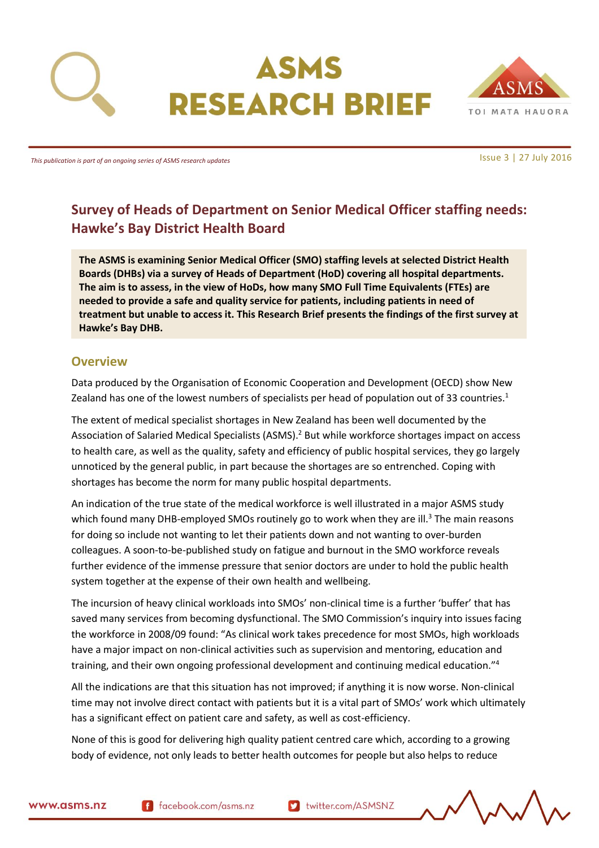



*This publication is part of an ongoing series of ASMS research updates*

Issue 3 | 27 July 2016

# **Survey of Heads of Department on Senior Medical Officer staffing needs: Hawke's Bay District Health Board**

**The ASMS is examining Senior Medical Officer (SMO) staffing levels at selected District Health Boards (DHBs) via a survey of Heads of Department (HoD) covering all hospital departments. The aim is to assess, in the view of HoDs, how many SMO Full Time Equivalents (FTEs) are needed to provide a safe and quality service for patients, including patients in need of treatment but unable to access it. This Research Brief presents the findings of the first survey at Hawke's Bay DHB.**

### <span id="page-0-0"></span>**Overview**

Data produced by the Organisation of Economic Cooperation and Development (OECD) show New Zealand has one of the lowest numbers of specialists per head of population out of 33 countries.<sup>1</sup>

The extent of medical specialist shortages in New Zealand has been well documented by the Association of Salaried Medical Specialists (ASMS).<sup>2</sup> But while workforce shortages impact on access to health care, as well as the quality, safety and efficiency of public hospital services, they go largely unnoticed by the general public, in part because the shortages are so entrenched. Coping with shortages has become the norm for many public hospital departments.

An indication of the true state of the medical workforce is well illustrated in a major ASMS study which found many DHB-employed SMOs routinely go to work when they are ill.<sup>3</sup> The main reasons for doing so include not wanting to let their patients down and not wanting to over-burden colleagues. A soon-to-be-published study on fatigue and burnout in the SMO workforce reveals further evidence of the immense pressure that senior doctors are under to hold the public health system together at the expense of their own health and wellbeing.

The incursion of heavy clinical workloads into SMOs' non-clinical time is a further 'buffer' that has saved many services from becoming dysfunctional. The SMO Commission's inquiry into issues facing the workforce in 2008/09 found: "As clinical work takes precedence for most SMOs, high workloads have a major impact on non-clinical activities such as supervision and mentoring, education and training, and their own ongoing professional development and continuing medical education."<sup>4</sup>

All the indications are that this situation has not improved; if anything it is now worse. Non-clinical time may not involve direct contact with patients but it is a vital part of SMOs' work which ultimately has a significant effect on patient care and safety, as well as cost-efficiency.

None of this is good for delivering high quality patient centred care which, according to a growing body of evidence, not only leads to better health outcomes for people but also helps to reduce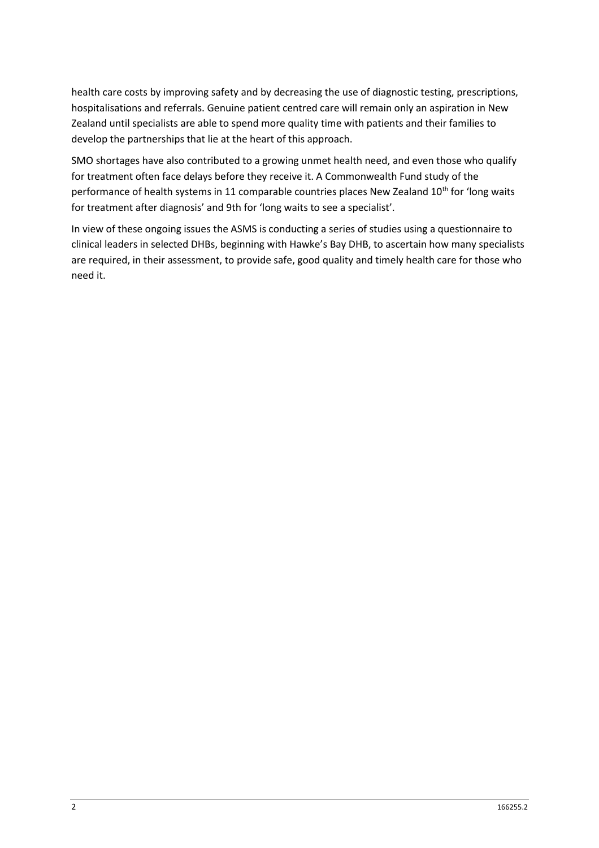health care costs by improving safety and by decreasing the use of diagnostic testing, prescriptions, hospitalisations and referrals. Genuine patient centred care will remain only an aspiration in New Zealand until specialists are able to spend more quality time with patients and their families to develop the partnerships that lie at the heart of this approach.

SMO shortages have also contributed to a growing unmet health need, and even those who qualify for treatment often face delays before they receive it. A Commonwealth Fund study of the performance of health systems in 11 comparable countries places New Zealand 10<sup>th</sup> for 'long waits for treatment after diagnosis' and 9th for 'long waits to see a specialist'.

In view of these ongoing issues the ASMS is conducting a series of studies using a questionnaire to clinical leaders in selected DHBs, beginning with Hawke's Bay DHB, to ascertain how many specialists are required, in their assessment, to provide safe, good quality and timely health care for those who need it.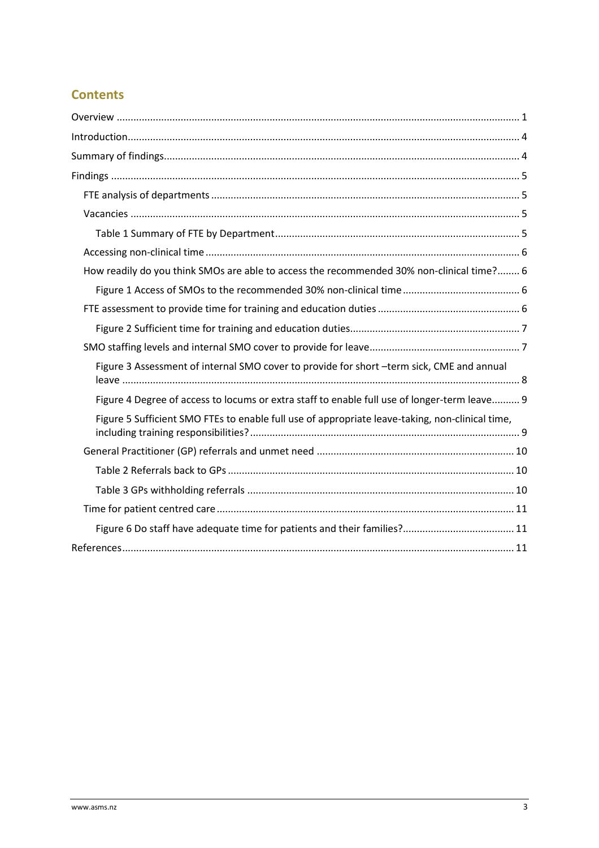# **Contents**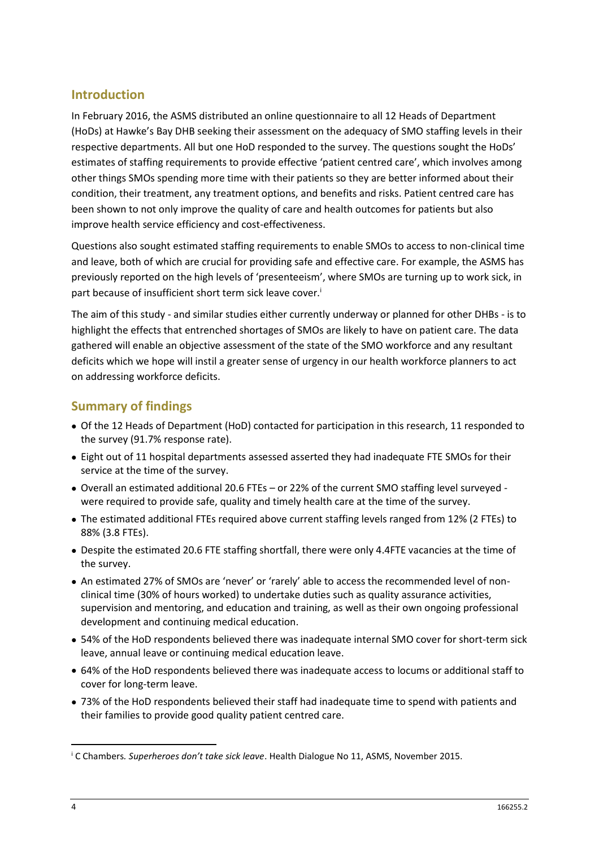## <span id="page-3-0"></span>**Introduction**

In February 2016, the ASMS distributed an online questionnaire to all 12 Heads of Department (HoDs) at Hawke's Bay DHB seeking their assessment on the adequacy of SMO staffing levels in their respective departments. All but one HoD responded to the survey. The questions sought the HoDs' estimates of staffing requirements to provide effective 'patient centred care', which involves among other things SMOs spending more time with their patients so they are better informed about their condition, their treatment, any treatment options, and benefits and risks. Patient centred care has been shown to not only improve the quality of care and health outcomes for patients but also improve health service efficiency and cost-effectiveness.

Questions also sought estimated staffing requirements to enable SMOs to access to non-clinical time and leave, both of which are crucial for providing safe and effective care. For example, the ASMS has previously reported on the high levels of 'presenteeism', where SMOs are turning up to work sick, in part because of insufficient short term sick leave cover.<sup>i</sup>

The aim of this study - and similar studies either currently underway or planned for other DHBs - is to highlight the effects that entrenched shortages of SMOs are likely to have on patient care. The data gathered will enable an objective assessment of the state of the SMO workforce and any resultant deficits which we hope will instil a greater sense of urgency in our health workforce planners to act on addressing workforce deficits.

## <span id="page-3-1"></span>**Summary of findings**

- Of the 12 Heads of Department (HoD) contacted for participation in this research, 11 responded to the survey (91.7% response rate).
- Eight out of 11 hospital departments assessed asserted they had inadequate FTE SMOs for their service at the time of the survey.
- Overall an estimated additional 20.6 FTEs or 22% of the current SMO staffing level surveyed were required to provide safe, quality and timely health care at the time of the survey.
- The estimated additional FTEs required above current staffing levels ranged from 12% (2 FTEs) to 88% (3.8 FTEs).
- Despite the estimated 20.6 FTE staffing shortfall, there were only 4.4FTE vacancies at the time of the survey.
- An estimated 27% of SMOs are 'never' or 'rarely' able to access the recommended level of nonclinical time (30% of hours worked) to undertake duties such as quality assurance activities, supervision and mentoring, and education and training, as well as their own ongoing professional development and continuing medical education.
- 54% of the HoD respondents believed there was inadequate internal SMO cover for short-term sick leave, annual leave or continuing medical education leave.
- 64% of the HoD respondents believed there was inadequate access to locums or additional staff to cover for long-term leave.
- 73% of the HoD respondents believed their staff had inadequate time to spend with patients and their families to provide good quality patient centred care.

 $\overline{a}$ 

<sup>i</sup> C Chambers*. Superheroes don't take sick leave*. Health Dialogue No 11, ASMS, November 2015.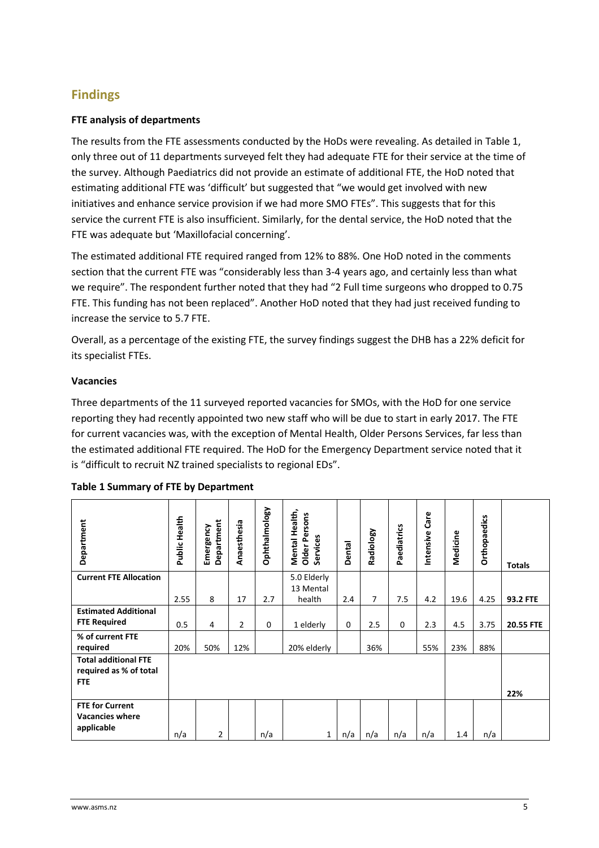# <span id="page-4-0"></span>**Findings**

#### <span id="page-4-1"></span>**FTE analysis of departments**

The results from the FTE assessments conducted by the HoDs were revealing. As detailed in [Table 1,](#page-4-3) only three out of 11 departments surveyed felt they had adequate FTE for their service at the time of the survey. Although Paediatrics did not provide an estimate of additional FTE, the HoD noted that estimating additional FTE was 'difficult' but suggested that "we would get involved with new initiatives and enhance service provision if we had more SMO FTEs". This suggests that for this service the current FTE is also insufficient. Similarly, for the dental service, the HoD noted that the FTE was adequate but 'Maxillofacial concerning'.

The estimated additional FTE required ranged from 12% to 88%. One HoD noted in the comments section that the current FTE was "considerably less than 3-4 years ago, and certainly less than what we require". The respondent further noted that they had "2 Full time surgeons who dropped to 0.75 FTE. This funding has not been replaced". Another HoD noted that they had just received funding to increase the service to 5.7 FTE.

Overall, as a percentage of the existing FTE, the survey findings suggest the DHB has a 22% deficit for its specialist FTEs.

#### <span id="page-4-2"></span>**Vacancies**

Three departments of the 11 surveyed reported vacancies for SMOs, with the HoD for one service reporting they had recently appointed two new staff who will be due to start in early 2017. The FTE for current vacancies was, with the exception of Mental Health, Older Persons Services, far less than the estimated additional FTE required. The HoD for the Emergency Department service noted that it is "difficult to recruit NZ trained specialists to regional EDs".

| Department                                                          | Public Health | Department<br>Emergency | Anaesthesia    | Ophthalmology | Health,<br><b>Older Persons</b><br>Services<br>Mental | <b>Dental</b> | Radiology | Paediatrics | Care<br>Intensive | Medicine | <b>Orthopaedics</b> | <b>Totals</b> |
|---------------------------------------------------------------------|---------------|-------------------------|----------------|---------------|-------------------------------------------------------|---------------|-----------|-------------|-------------------|----------|---------------------|---------------|
| <b>Current FTE Allocation</b>                                       |               |                         |                |               | 5.0 Elderly<br>13 Mental                              |               |           |             |                   |          |                     |               |
|                                                                     | 2.55          | 8                       | 17             | 2.7           | health                                                | 2.4           | 7         | 7.5         | 4.2               | 19.6     | 4.25                | 93.2 FTE      |
| <b>Estimated Additional</b>                                         |               |                         |                |               |                                                       |               |           |             |                   |          |                     |               |
| <b>FTE Required</b>                                                 | 0.5           | 4                       | $\overline{2}$ | $\Omega$      | 1 elderly                                             | $\Omega$      | 2.5       | 0           | 2.3               | 4.5      | 3.75                | 20.55 FTE     |
| % of current FTE                                                    |               |                         |                |               |                                                       |               |           |             |                   |          |                     |               |
| required                                                            | 20%           | 50%                     | 12%            |               | 20% elderly                                           |               | 36%       |             | 55%               | 23%      | 88%                 |               |
| <b>Total additional FTE</b><br>required as % of total<br><b>FTE</b> |               |                         |                |               |                                                       |               |           |             |                   |          |                     | 22%           |
| <b>FTE for Current</b><br><b>Vacancies where</b><br>applicable      | n/a           | 2                       |                | n/a           | 1                                                     | n/a           | n/a       | n/a         | n/a               | 1.4      | n/a                 |               |

#### <span id="page-4-3"></span>**Table 1 Summary of FTE by Department**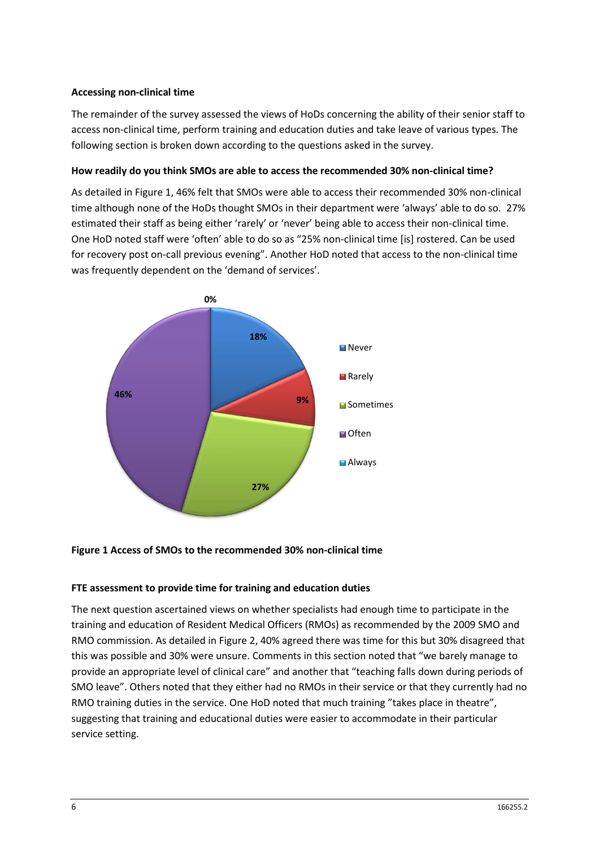#### <span id="page-5-0"></span>**Accessing non-clinical time**

The remainder of the survey assessed the views of HoDs concerning the ability of their senior staff to access non-clinical time, perform training and education duties and take leave of various types. The following section is broken down according to the questions asked in the survey.

#### <span id="page-5-1"></span>**How readily do you think SMOs are able to access the recommended 30% non-clinical time?**

As detailed in [Figure 1,](#page-5-2) 46% felt that SMOs were able to access their recommended 30% non-clinical time although none of the HoDs thought SMOs in their department were 'always' able to do so. 27% estimated their staff as being either 'rarely' or 'never' being able to access their non-clinical time. One HoD noted staff were 'often' able to do so as "25% non-clinical time [is] rostered. Can be used for recovery post on-call previous evening". Another HoD noted that access to the non-clinical time was frequently dependent on the 'demand of services'.



#### <span id="page-5-3"></span><span id="page-5-2"></span>**Figure 1 Access of SMOs to the recommended 30% non-clinical time**

#### **FTE assessment to provide time for training and education duties**

The next question ascertained views on whether specialists had enough time to participate in the training and education of Resident Medical Officers (RMOs) as recommended by the 2009 SMO and RMO commission. As detailed i[n Figure 2,](#page-6-0) 40% agreed there was time for this but 30% disagreed that this was possible and 30% were unsure. Comments in this section noted that "we barely manage to provide an appropriate level of clinical care" and another that "teaching falls down during periods of SMO leave". Others noted that they either had no RMOs in their service or that they currently had no RMO training duties in the service. One HoD noted that much training "takes place in theatre", suggesting that training and educational duties were easier to accommodate in their particular service setting.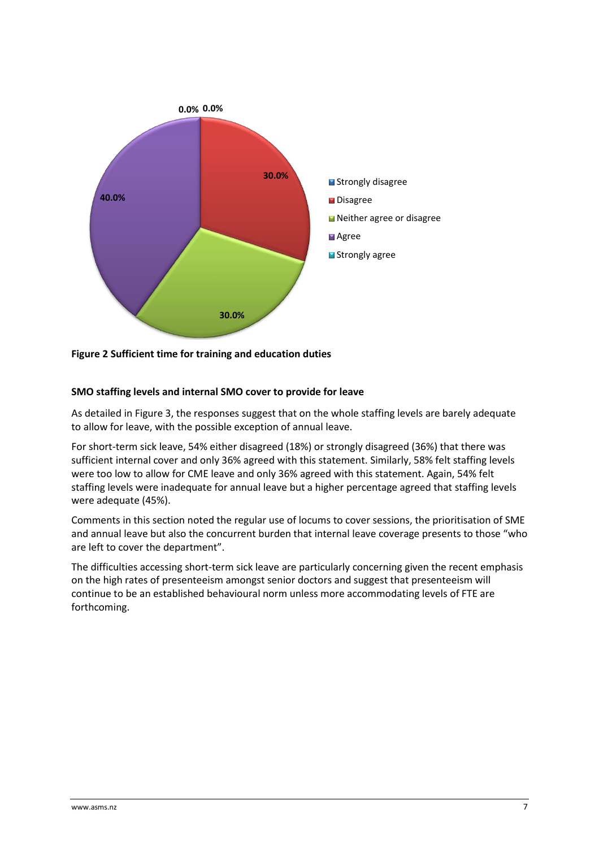

<span id="page-6-1"></span><span id="page-6-0"></span>**Figure 2 Sufficient time for training and education duties**

### **SMO staffing levels and internal SMO cover to provide for leave**

As detailed in Figure 3, the responses suggest that on the whole staffing levels are barely adequate to allow for leave, with the possible exception of annual leave.

For short-term sick leave, 54% either disagreed (18%) or strongly disagreed (36%) that there was sufficient internal cover and only 36% agreed with this statement. Similarly, 58% felt staffing levels were too low to allow for CME leave and only 36% agreed with this statement. Again, 54% felt staffing levels were inadequate for annual leave but a higher percentage agreed that staffing levels were adequate (45%).

Comments in this section noted the regular use of locums to cover sessions, the prioritisation of SME and annual leave but also the concurrent burden that internal leave coverage presents to those "who are left to cover the department".

The difficulties accessing short-term sick leave are particularly concerning given the recent emphasis on the high rates of presenteeism amongst senior doctors and suggest that presenteeism will continue to be an established behavioural norm unless more accommodating levels of FTE are forthcoming.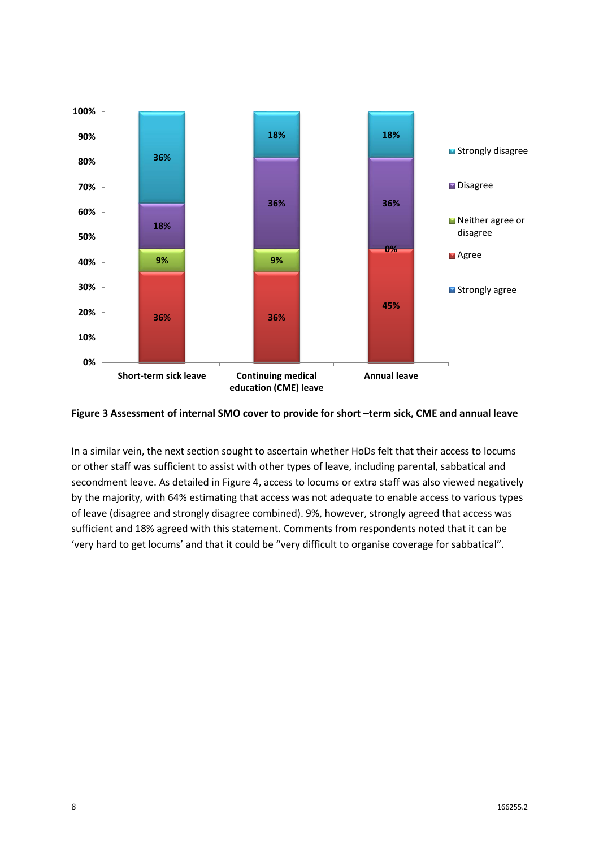

<span id="page-7-0"></span>

In a similar vein, the next section sought to ascertain whether HoDs felt that their access to locums or other staff was sufficient to assist with other types of leave, including parental, sabbatical and secondment leave. As detailed in [Figure 4,](#page-8-0) access to locums or extra staff was also viewed negatively by the majority, with 64% estimating that access was not adequate to enable access to various types of leave (disagree and strongly disagree combined). 9%, however, strongly agreed that access was sufficient and 18% agreed with this statement. Comments from respondents noted that it can be 'very hard to get locums' and that it could be "very difficult to organise coverage for sabbatical".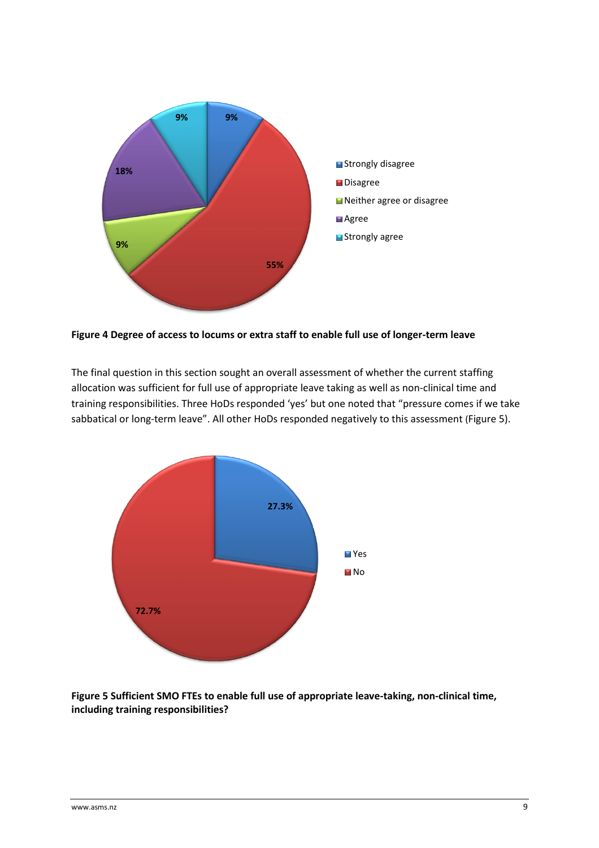

<span id="page-8-0"></span>**Figure 4 Degree of access to locums or extra staff to enable full use of longer-term leave**

The final question in this section sought an overall assessment of whether the current staffing allocation was sufficient for full use of appropriate leave taking as well as non-clinical time and training responsibilities. Three HoDs responded 'yes' but one noted that "pressure comes if we take sabbatical or long-term leave". All other HoDs responded negatively to this assessment ([Figure 5\)](#page-8-1).



<span id="page-8-1"></span>**Figure 5 Sufficient SMO FTEs to enable full use of appropriate leave-taking, non-clinical time, including training responsibilities?**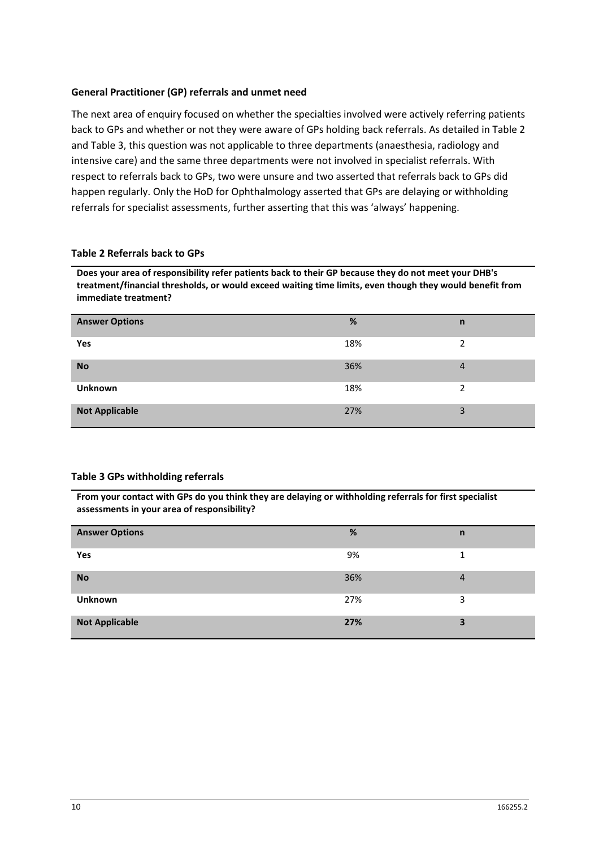#### <span id="page-9-0"></span>**General Practitioner (GP) referrals and unmet need**

The next area of enquiry focused on whether the specialties involved were actively referring patients back to GPs and whether or not they were aware of GPs holding back referrals. As detailed in [Table 2](#page-9-1) and [Table 3,](#page-9-2) this question was not applicable to three departments (anaesthesia, radiology and intensive care) and the same three departments were not involved in specialist referrals. With respect to referrals back to GPs, two were unsure and two asserted that referrals back to GPs did happen regularly. Only the HoD for Ophthalmology asserted that GPs are delaying or withholding referrals for specialist assessments, further asserting that this was 'always' happening.

#### <span id="page-9-1"></span>**Table 2 Referrals back to GPs**

**Does your area of responsibility refer patients back to their GP because they do not meet your DHB's treatment/financial thresholds, or would exceed waiting time limits, even though they would benefit from immediate treatment?**

| <b>Answer Options</b> | %   | n              |
|-----------------------|-----|----------------|
| Yes                   | 18% | 2              |
| <b>No</b>             | 36% | $\overline{a}$ |
| Unknown               | 18% | C.             |
| <b>Not Applicable</b> | 27% | 3              |

#### <span id="page-9-2"></span>**Table 3 GPs withholding referrals**

**From your contact with GPs do you think they are delaying or withholding referrals for first specialist assessments in your area of responsibility?**

| <b>Answer Options</b> | %   | $\mathsf{n}$   |
|-----------------------|-----|----------------|
|                       |     |                |
| Yes                   | 9%  | 1.             |
|                       |     |                |
| <b>No</b>             | 36% | $\overline{4}$ |
| <b>Unknown</b>        | 27% | 3              |
| <b>Not Applicable</b> | 27% | 3              |